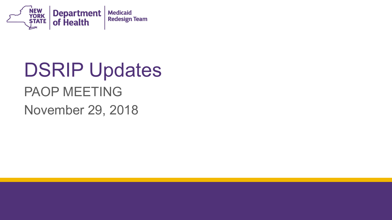

# DSRIP Updates PAOP MEETING

November 29, 2018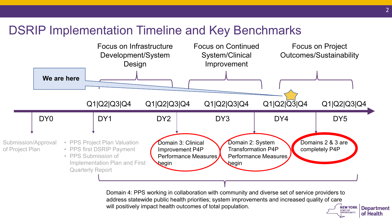### DSRIP Implementation Timeline and Key Benchmarks



**NEW YORK Department**  Domain 4: PPS working in collaboration with community and diverse set of service providers to address statewide public health priorities; system improvements and increased quality of care will positively impact health outcomes of total population.

 $\frac{OPPORTUNIT.}{P}$  of Health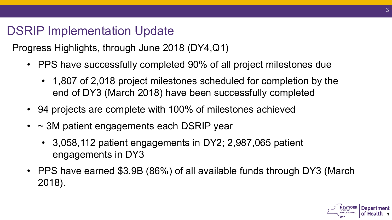### DSRIP Implementation Update

Progress Highlights, through June 2018 (DY4,Q1)

- • PPS have successfully completed 90% of all project milestones due
	- 1,807 of 2,018 project milestones scheduled for completion by the end of DY3 (March 2018) have been successfully completed
- 94 projects are complete with 100% of milestones achieved
- ~ 3M patient engagements each DSRIP year
	- 3,058,112 patient engagements in DY2; 2,987,065 patient engagements in DY3
- • PPS have earned \$3.9B (86%) of all available funds through DY3 (March 2018).

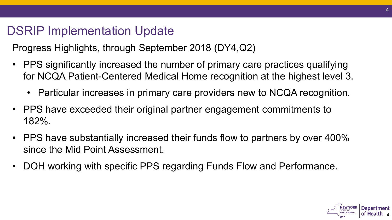### DSRIP Implementation Update

Progress Highlights, through September 2018 (DY4,Q2)

- • PPS significantly increased the number of primary care practices qualifying for NCQA Patient-Centered Medical Home recognition at the highest level 3.
	- Particular increases in primary care providers new to NCQA recognition.
- • PPS have exceeded their original partner engagement commitments to 182%.
- • PPS have substantially increased their funds flow to partners by over 400% since the Mid Point Assessment.
- DOH working with specific PPS regarding Funds Flow and Performance.

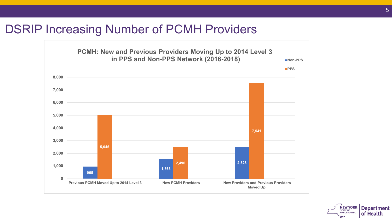#### DSRIP Increasing Number of PCMH Providers



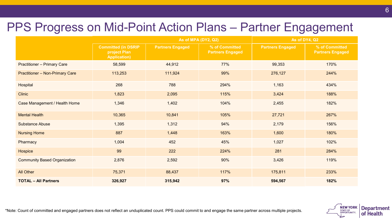### PPS Progress on Mid-Point Action Plans – Partner Engagement

|                                        |                                                                   | As of MPA (DY2, Q2)     |                                           |                         | As of DY4, Q2                             |  |
|----------------------------------------|-------------------------------------------------------------------|-------------------------|-------------------------------------------|-------------------------|-------------------------------------------|--|
|                                        | <b>Committed (in DSRIP</b><br>project Plan<br><b>Application)</b> | <b>Partners Engaged</b> | % of Committed<br><b>Partners Engaged</b> | <b>Partners Engaged</b> | % of Committed<br><b>Partners Engaged</b> |  |
| <b>Practitioner - Primary Care</b>     | 58,599                                                            | 44,912                  | 77%                                       | 99,353                  | 170%                                      |  |
| <b>Practitioner - Non-Primary Care</b> | 113,253                                                           | 111,924                 | 99%                                       | 276,127                 | 244%                                      |  |
| Hospital                               | 268                                                               | 788                     | 294%                                      | 1,163                   | 434%                                      |  |
| <b>Clinic</b>                          | 1,823                                                             | 2,095                   | 115%                                      | 3,424                   | 188%                                      |  |
| Case Management / Health Home          | 1,346                                                             | 1,402                   | 104%                                      | 2,455                   | 182%                                      |  |
| <b>Mental Health</b>                   | 10,365                                                            | 10,841                  | 105%                                      | 27,721                  | 267%                                      |  |
| <b>Substance Abuse</b>                 | 1,395                                                             | 1,312                   | 94%                                       | 2,179                   | 156%                                      |  |
| <b>Nursing Home</b>                    | 887                                                               | 1,448                   | 163%                                      | 1,600                   | 180%                                      |  |
| Pharmacy                               | 1,004                                                             | 452                     | 45%                                       | 1,027                   | 102%                                      |  |
| Hospice                                | 99                                                                | 222                     | 224%                                      | 281                     | 284%                                      |  |
| <b>Community Based Organization</b>    | 2,876                                                             | 2,592                   | 90%                                       | 3,426                   | 119%                                      |  |
| All Other                              | 75,371                                                            | 88,437                  | 117%                                      | 175,811                 | 233%                                      |  |
| <b>TOTAL - All Partners</b>            | 326,927                                                           | 315,942                 | 97%                                       | 594,567                 | 182%                                      |  |

\*Note: Count of committed and engaged partners does not reflect an unduplicated count. PPS could commit to and engage the same partner across multiple projects.

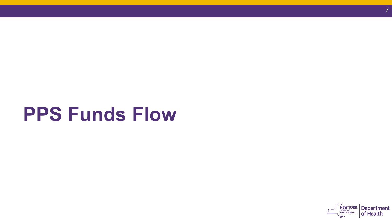# **PPS Funds Flow**

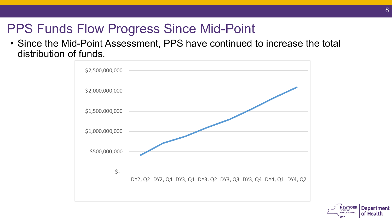## PPS Funds Flow Progress Since Mid-Point

• Since the Mid-Point Assessment, PPS have continued to increase the total distribution of funds.



**NEW YORK Department**  $\frac{1}{2}$  **of Health**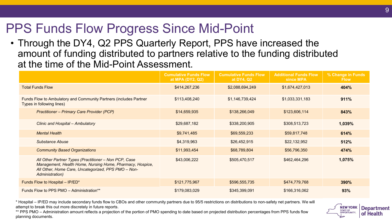## PPS Funds Flow Progress Since Mid-Point

• Through the DY4, Q2 PPS Quarterly Report, PPS have increased the amount of funding distributed to partners relative to the funding distributed at the time of the Mid-Point Assessment.

|                                                                                                                                                                                              | <b>Cumulative Funds Flow</b><br>at MPA (DY2, Q2) | <b>Cumulative Funds Flow</b><br>at DY4, Q2 | <b>Additional Funds Flow</b><br>since MPA | % Change in Funds<br><b>Flow</b> |
|----------------------------------------------------------------------------------------------------------------------------------------------------------------------------------------------|--------------------------------------------------|--------------------------------------------|-------------------------------------------|----------------------------------|
| <b>Total Funds Flow</b>                                                                                                                                                                      | \$414,267,236                                    | \$2,088,694,249                            | \$1,674,427,013                           | 404%                             |
| Funds Flow to Ambulatory and Community Partners (includes Partner<br>Types in following lines)                                                                                               | \$113,408,240                                    | \$1,146,739,424                            | \$1,033,331,183                           | 911%                             |
| <b>Practitioner - Primary Care Provider (PCP)</b>                                                                                                                                            | \$14,659,935                                     | \$138,266,049                              | \$123,606,114                             | 843%                             |
| Clinic and Hospital - Ambulatory                                                                                                                                                             | \$29,687,182                                     | \$338,200,905                              | \$308,513,723                             | 1,039%                           |
| <b>Mental Health</b>                                                                                                                                                                         | \$9,741,485                                      | \$69,559,233                               | \$59,817,748                              | 614%                             |
| <b>Substance Abuse</b>                                                                                                                                                                       | \$4,319,963                                      | \$26,452,915                               | \$22,132,952                              | 512%                             |
| <b>Community Based Organizations</b>                                                                                                                                                         | \$11,993,454                                     | \$68,789,804                               | \$56,796,350                              | 474%                             |
| All Other Partner Types (Practitioner - Non PCP, Case<br>Management, Health Home, Nursing Home, Pharmacy, Hospice,<br>All Other, Home Care, Uncategorized, PPS PMO - Non-<br>Administration) | \$43,006,222                                     | \$505,470,517                              | \$462,464,296                             | 1,075%                           |
| Funds Flow to Hospital - IP/ED*                                                                                                                                                              | \$121,775,967                                    | \$596,555,735                              | \$474,779,768                             | 390%                             |
| Funds Flow to PPS PMO - Administration**                                                                                                                                                     | \$179,083,029                                    | \$345,399,091                              | \$166,316,062                             | 93%                              |

 \* Hospital – IP/ED may include secondary funds flow to CBOs and other community partners due to 95/5 restrictions on distributions to non-safety net partners. We will attempt to break this out more discretely in future reports.

 \*\* PPS PMO – Administration amount reflects a projection of the portion of PMO spending to date based on projected distribution percentages from PPS funds flow planning documents.

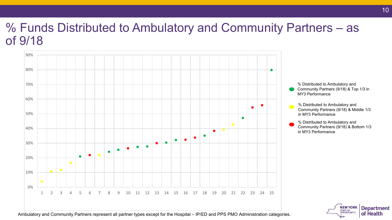### % Funds Distributed to Ambulatory and Community Partners – as of 9/18



•<br>•<br>• Community Partners (9/18) & Top 1/3 in % Distributed to Ambulatory and MY3 Performance

 Community Partners (9/18) & Middle 1/3 % Distributed to Ambulatory and in MY3 Performance

 Community Partners (9/18) & Bottom 1/3 % Distributed to Ambulatory and in MY3 Performance



Ambulatory and Community Partners represent all partner types except for the Hospital – IP/ED and PPS PMO Administration categories.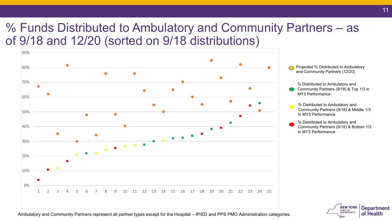### % Funds Distributed to Ambulatory and Community Partners – as of 9/18 and 12/20 (sorted on 9/18 distributions)



 and Community Partners (12/20) Projected % Distributed to Ambulatory

% Distributed to Ambulatory and

 Community Partners (9/18) & Top 1/3 in MY3 Performance

 Community Partners (9/18) & Middle 1/3 % Distributed to Ambulatory and in MY3 Performance

 Community Partners (9/18) & Bottom 1/3 % Distributed to Ambulatory and in MY3 Performance



Ambulatory and Community Partners represent all partner types except for the Hospital – IP/ED and PPS PMO Administration categories.